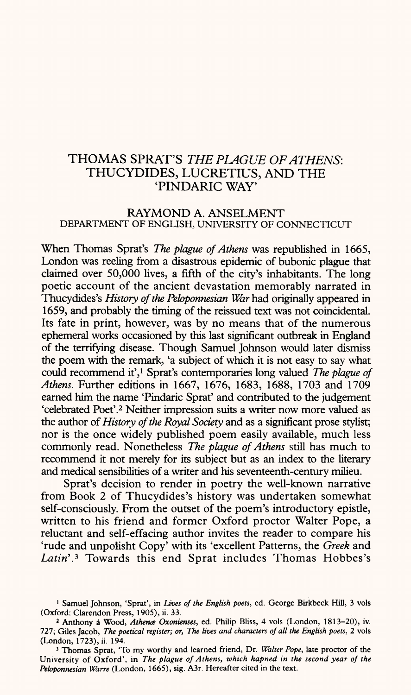## THOMAS SPRAT'S *THE PLAGUE OF ATHENS:* THUCYDIDES, LUCRETIUS, AND THE 'PINDARIC WAY'

## RAYMOND A. ANSELMENT DEPARTMENT OF ENGLISH, UNIVERSITY OF CONNECTICUT

When Thomas Sprat's *The plague of Athens* was republished in 1665, London was reeling from a disastrous epidemic of bubonic plague that claimed over 50,000 lives, a fifth of the city's inhabitants. The long poetic account of the ancient devastation memorably narrated in Thucydides's *History of the Pebponnesian War* had originally appeared in 1659, and probably the timing of the reissued text was not coincidental. Its fate in print, however, was by no means that of the numerous ephemeral works occasioned by this last significant outbreak in England of the terrifying disease. Though Samuel Johnson would later dismiss the poem with the remark, 'a subject of which it is not easy to say what could recommend it',<sup>1</sup> Sprat's contemporaries long valued *The plague of Athens.* Further editions in 1667, 1676, 1683, 1688, 1703 and 1709 earned him the name 'Pindaric Sprat' and contributed to the judgement 'celebrated Poet'.2 Neither impression suits a writer now more valued as the author *of History of the Royal Society* and as a significant prose stylist; nor is the once widely published poem easily available, much less commonly read. Nonetheless *The plague of Athens* still has much to recommend it not merely for its subject but as an index to the literary and medical sensibilities of a writer and his seventeenth-century milieu.

Sprat's decision to render in poetry the well-known narrative from Book 2 of Thucydides's history was undertaken somewhat self-consciously. From the outset of the poem's introductory epistle, written to his friend and former Oxford proctor Walter Pope, a reluctant and self-effacing author invites the reader to compare his 'rude and unpolisht Copy' with its 'excellent Patterns, the *Greek* and Latin<sup>'</sup>.<sup>3</sup> Towards this end Sprat includes Thomas Hobbes's

<sup>1</sup> Samuel Johnson, 'Sprat', in *Lives of the English poets,* ed. George Birkbeck Hill, 3 vols (Oxford: Clarendon Press, 1905), ii. 33.

*<sup>2</sup>*Anthony a Wood, *Athena Oxonienses,* ed. Philip Bliss, 4 vols (London, 1813-20), iv. 727; Giles Jacob, *The poetical register; or, The lives and characters of all the English poets*, 2 vols (London, 1723), ii. 194.

<sup>3</sup> Thomas Sprat, 'To my worthy and learned friend, Dr. *Walter Pope,* late proctor of the University of Oxford', in *The plague of Athens, which hapned in the second year of the Pebponnesian Warre* (London, 1665), sig. A3r. Hereafter cited in the text.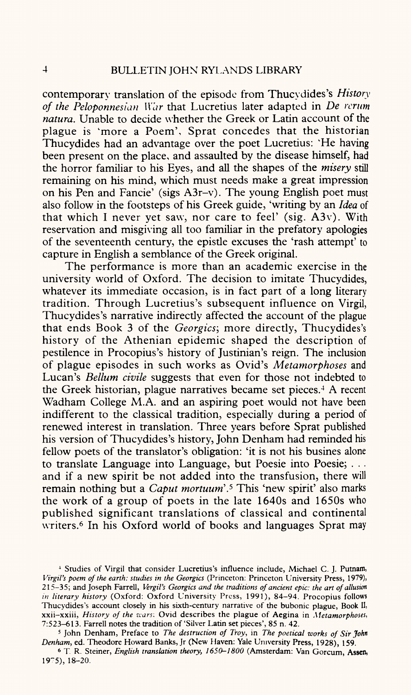contemporary translation of the episode from Thucydides's *History of the Peloponnesian \\ar* that Lucretius later adapted in *De rcrum natura.* Unable to decide whether the Greek or Latin account of the plague is 'more a Poem', Sprat concedes that the historian Thucydides had an advantage over the poet Lucretius: 'He having' been present on the place, and assaulted by the disease himself, had the horror familiar to his Eyes, and all the shapes of the *misery* still remaining on his mind, which must needs make a great impression on his Pen and Fancie' (sigs A3r-v). The young English poet must also follow in the footsteps of his Greek guide, 'writing by an *Idea* of that which I never yet saw, nor care to feel' (sig. A3v). With reservation and misgiving all too familiar in the prefatory apologies of the seventeenth century, the epistle excuses the 'rash attempt' to capture in English a semblance of the Greek original.

The performance is more than an academic exercise in the university world of Oxford. The decision to imitate Thucydides, whatever its immediate occasion, is in fact part of a long literary tradition. Through Lucretius's subsequent influence on Virgil, Thucydides's narrative indirectly affected the account of the plague that ends Book 3 of the *Georgics;* more directly, Thucydides's history of the Athenian epidemic shaped the description of pestilence in Procopius's history of Justinian's reign. The inclusion of plague episodes in such works as Ovid's *Metamorphoses* and Lucan's *Bellum civile* suggests that even for those not indebted to the Greek historian, plague narratives became set pieces. 4 A recent Wadham College M.A. and an aspiring poet would not have been indifferent to the classical tradition, especially during a period of renewed interest in translation. Three years before Sprat published his version of Thucydides's history, John Denham had reminded his fellow poets of the translator's obligation: 'it is not his busines alone to translate Language into Language, but Poesie into Poesie; . . . and if a new spirit be not added into the transfusion, there will remain nothing but a *Caput mortuum'. 5* This 'new spirit' also marks the work of a group of poets in the late 1640s and 1650s who published significant translations of classical and continental writers.<sup>6</sup> In his Oxford world of books and languages Sprat may

<sup>4</sup> Studies of Virgil that consider Lucretius's influence include, Michael C. J. Putnam, *Virgil's poem of the earth: studies in the Georgics* (Princeton: Princeton University Press, 1979), 215-35; and Joseph Farrell, *Vergil's Georgics and the traditions of ancient epic: the art of allusion in literary history* (Oxford: Oxford University Press, 1991), 84-94. Procopius follows Thucydides's account closely in his sixth-century narrative of the bubonic plague, Book II, xxii-xxiii, *History of the u-ars;* Ovid describes the plague of Aegina in *Metamorphoses,*  7:523-613. Farrell notes the tradition of 'Silver Latin set pieces', 85 n. 42.

<sup>5</sup> John Denham, Preface to *The destruction of Troy,* in *The poetical works of Sir John Denham,* ed. Theodore Howard Banks, Jr (New Haven: Yale University Press, 1928), 159.

<sup>6</sup> T. R. Steiner, *English translation theory, 1650-1800* (Amsterdam: Van Gorcum, Assen, 1975), 18-20.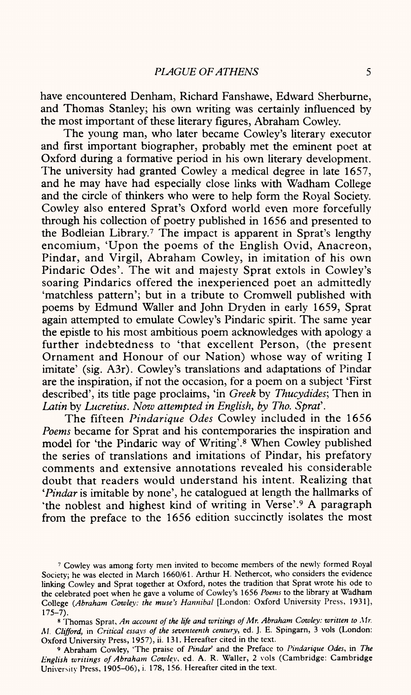have encountered Denham, Richard Fanshawe, Edward Sherburne, and Thomas Stanley; his own writing was certainly influenced by the most important of these literary figures, Abraham Cowley.

The young man, who later became Cowley's literary executor and first important biographer, probably met the eminent poet at Oxford during a formative period in his own literary development. The university had granted Cowley a medical degree in late 1657, and he may have had especially close links with Wadham College and the circle of thinkers who were to help form the Royal Society. Cowley also entered Sprat's Oxford world even more forcefully through his collection of poetry published in 1656 and presented to the Bodleian Library.<sup>7</sup> The impact is apparent in Sprat's lengthy encomium, 'Upon the poems of the English Ovid, Anacreon, Pindar, and Virgil, Abraham Cowley, in imitation of his own Pindaric Odes'. The wit and majesty Sprat extols in Cowley's soaring Pindarics offered the inexperienced poet an admittedly 'matchless pattern'; but in a tribute to Cromwell published with poems by Edmund Waller and John Dryden in early 1659, Sprat again attempted to emulate Cowley's Pindaric spirit. The same year the epistle to his most ambitious poem acknowledges with apology <sup>a</sup> further indebtedness to 'that excellent Person, (the presen<sup>t</sup> Ornament and Honour of our Nation) whose way of writing I imitate' (sig. A3r). Cowley's translations and adaptations of Pindar are the inspiration, if not the occasion, for a poem on <sup>a</sup>subject 'First described', its title page proclaims, 'in *Greek* by *Thucydides;* Then in *Latin* by *Lucretius. Now attempted in English, by Tho. Sprat'.*

The fifteen *Pindarique Odes* Cowley included in the 1656 *Poems* became for Sprat and his contemporaries the inspiration and model for 'the Pindaric way of Writing'.8 When Cowley published the series of translations and imitations of Pindar, his prefatory comments and extensive annotations revealed his considerable doubt that readers would understand his intent. Realizing that *'Pindar* is imitable by none', he catalogued at length the hallmarks of 'the noblest and highest kind of writing in Verse'.<sup>9</sup> A paragraph from the preface to the 1656 edition succinctly isolates the most

<sup>7</sup> Cowley was among forty men invited to become members of the newly formed Royal Society; he was elected in March 1660/61. Arthur H. Nethercot, who considers the evidence linking Cowley and Sprat together at Oxford, notes the tradition that Sprat wrote his ode to the celebrated poet when he gave a volume of Cowley's 1656 *Poems* to the library at Wadham College *(Abraham Cowley: the muse's Hannibal* [London: Oxford University Press, 1931], 175-7).

<sup>8</sup> Thomas Sprat, *An account of the life and writings of Mr. Abraham Cowley: written to Mr. M. Clifford,* in *Critical essays of the seventeenth century,* ed. J. E. Spingarn, 3 vols (London: Oxford University Press, 1957), ii. 131. Hereafter cited in the text.

<sup>9</sup> Abraham Cowley, 'The praise of *Pindar'* and the Preface to *Pindarique Odes,* in *The English writings of Abraham Cowley,* ed. A. R. Waller, 2 vols (Cambridge: Cambridge University Press, 1905-06), i. 178, 156. Hereafter cited in the text.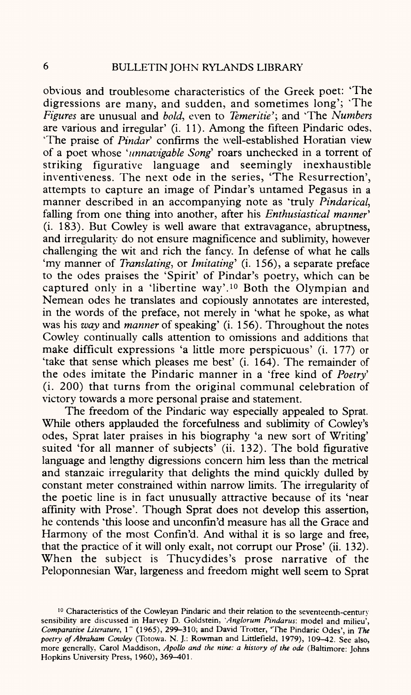obvious and troublesome characteristics of the Greek poet: 'The digressions are many, and sudden, and sometimes long'; 'The *Figures* are unusual and *bold,* even to *Temeritie';* and "The *Numbers*  are various and irregular' (i. 11). Among the fifteen Pindaric odes, "The praise of *Pindar'* confirms the well-established Horatian view of <sup>a</sup>poet whose ' *unnavigable Song'* roars unchecked in a torrent of striking figurative language and seemingly inexhaustible inventiveness. The next ode in the series, 'The Resurrection', attempts to capture an image of Pindar's untamed Pegasus in <sup>a</sup> manner described in an accompanying note as 'truly *Pindarical,*  falling from one thing into another, after his *Enthusiastical manner'*  (i. 183). But Cowley is well aware that extravagance, abruptness, and irregularity do not ensure magnificence and sublimity, however challenging the wit and rich the fancy. In defense of what he calls 'my manner of *Translating*, or *Imitating*' (i. 156), a separate preface to the odes praises the 'Spirit' of Pindar's poetry, which can be captured only in a 'libertine way'. 10 Both the Olympian and Nemean odes he translates and copiously annotates are interested, in the words of the preface, not merely in 'what he spoke, as what was his *way* and *manner* of speaking' (i. 156). Throughout the notes Cowley continually calls attention to omissions and additions that make difficult expressions 'a little more perspicuous' (i. 177) or 'take that sense which pleases me best' (i. 164). The remainder of the odes imitate the Pindaric manner in a 'free kind of *Poetry'*  (i. 200) that turns from the original communal celebration of victory towards <sup>a</sup>more personal praise and statement.

The freedom of the Pindaric way especially appealed to Sprat. While others applauded the forcefulness and sublimity of Cowley's odes, Sprat later praises in his biography 'a new sort of Writing' suited 'for all manner of subjects' (ii. 132). The bold figurative language and lengthy digressions concern him less than the metrical and stanzaic irregularity that delights the mind quickly dulled by constant meter constrained within narrow limits. The irregularity of the poetic line is in fact unusually attractive because of its 'near affinity with Prose'. Though Sprat does not develop this assertion, he contends 'this loose and unconfin'd measure has all the Grace and Harmony of the most Confin'd. And withal it is so large and free, that the practice of it will only exalt, not corrupt our Prose' (ii. 132). When the subject is Thucydides's prose narrative of the Peloponnesian War, largeness and freedom might well seem to Sprat

<sup>&</sup>lt;sup>10</sup> Characteristics of the Cowleyan Pindaric and their relation to the seventeenth-century sensibility are discussed in Harvey D. Goldstein, *'Anglorum Pindarus:* model and milieu', *Comparative Literature,* 1" (1965), 299-310; and David Trotter, 'The Pindaric Odes', in *The poetry of Abraham Cowley* (Totowa, N. J.: Rowman and Littlefield, 1979), 109-42. See also, more generally, Carol Maddison, *Apollo and the nine: a history of the ode* (Baltimore: Johns Hopkins University Press, 1960), 369-401.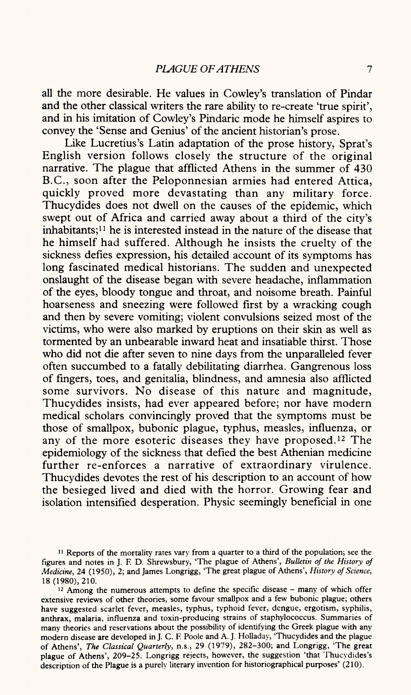all the more desirable. He values in Cowley's translation of Pindar and the other classical writers the rare ability to re-create 'true spirit', and in his imitation of Cowley's Pindaric mode he himself aspires to convey the 'Sense and Genius' of the ancient historian's prose.

Like Lucretius's Latin adaptation of the prose history, Sprat's English version follows closely the structure of the original narrative. The plague that afflicted Athens in the summer of 430 B.C., soon after the Peloponnesian armies had entered Attica, quickly proved more devastating than any military force. Thucydides does not dwell on the causes of the epidemic, which swept out of Africa and carried away about a third of the city's inhabitants;<sup>11</sup> he is interested instead in the nature of the disease that he himself had suffered. Although he insists the cruelty of the sickness defies expression, his detailed account of its symptoms has long fascinated medical historians. The sudden and unexpected onslaught of the disease began with severe headache, inflammation of the eyes, bloody tongue and throat, and noisome breath. Painful hoarseness and sneezing were followed first by a wracking cough and then by severe vomiting; violent convulsions seized most of the victims, who were also marked by eruptions on their skin as well as tormented by an unbearable inward heat and insatiable thirst. Those who did not die after seven to nine days from the unparalleled fever often succumbed to a fatally debilitating diarrhea. Gangrenous loss of fingers, toes, and genitalia, blindness, and amnesia also afflicted some survivors. No disease of this nature and magnitude, Thucydides insists, had ever appeared before; nor have modern medical scholars convincingly proved that the symptoms must be those of smallpox, bubonic plague, typhus, measles, influenza, or any of the more esoteric diseases they have proposed.<sup>12</sup> The epidemiology of the sickness that defied the best Athenian medicine further re-enforces a narrative of extraordinary virulence. Thucydides devotes the rest of his description to an account of how the besieged lived and died with the horror. Growing fear and isolation intensified desperation. Physic seemingly beneficial in one

<sup>11</sup> Reports of the mortality rates vary from a quarter to a third of the population; see the figures and notes in J. F. D. Shrewsbury, 'The plague of Athens', *Bulletin of the History of Medicine,* 24 (1950), 2; and James Longrigg, 'The great plague of Athens', *History of Science,*  18(1980), 210.

<sup>12</sup> Among the numerous attempts to define the specific disease - many of which offer extensive reviews of other theories, some favour smallpox and a few bubonic plague; others have suggested scarlet fever, measles, typhus, typhoid fever, dengue, ergotism, syphilis, anthrax, malaria, influenza and toxin-producing strains of staphylococcus. Summaries of many theories and reservations about the possibility of identifying the Greek plague with any modern disease are developed in J. C. F. Poole and A. J. Holladay, 'Thucydides and the plague of Athens', *The Classical Quarterly,* n.s., 29 (1979), 282-300; and Longrigg, 'The great plague of Athens', 209-25. Longrigg rejects, however, the suggestion 'that Thucydides's description of the Plague is a purely literary invention for historiographical purposes' (210).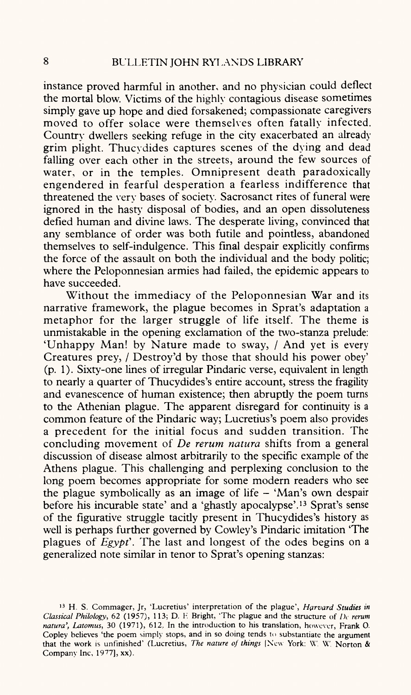instance proved harmful in another, and no physician could deflect the mortal blow. Victims of the highly contagious disease sometimes simply gave up hope and died forsakened; compassionate caregivers moved to offer solace were themselves often fatally infected. Country dwellers seeking refuge in the city exacerbated an already grim plight. Thucydides captures scenes of the dying and dead falling over each other in the streets, around the few sources of water, or in the temples. Omnipresent death paradoxically engendered in fearful desperation a fearless indifference that threatened the very bases of society. Sacrosanct rites of funeral were ignored in the hasty disposal of bodies, and an open dissoluteness defied human and divine laws. The desperate living, convinced that any semblance of order was both futile and pointless, abandoned themselves to self-indulgence. This final despair explicitly confirms the force of the assault on both the individual and the body politic; where the Peloponnesian armies had failed, the epidemic appears to have succeeded.

Without the immediacy of the Peloponnesian War and its narrative framework, the plague becomes in Sprat's adaptation <sup>a</sup> metaphor for the larger struggle of life itself. The theme is unmistakable in the opening exclamation of the two-stanza prelude: 'Unhappy Man! by Nature made to sway, / And yet is every Creatures prey, / Destroy'd by those that should his power obey' (p. 1). Sixty-one lines of irregular Pindaric verse, equivalent in length to nearly a quarter of Thucydides's entire account, stress the fragility and evanescence of human existence; then abruptly the poem turns to the Athenian plague. The apparent disregard for continuity is a common feature of the Pindaric way; Lucretius's poem also provides <sup>a</sup>precedent for the initial focus and sudden transition. The concluding movement of *De rerum natura* shifts from a general discussion of disease almost arbitrarily to the specific example of the Athens plague. This challenging and perplexing conclusion to the long poem becomes appropriate for some modern readers who see the plague symbolically as an image of life  $-$  'Man's own despair before his incurable state' and a 'ghastly apocalypse'. 13 Sprat's sense of the figurative struggle tacitly present in Thucydides's history as well is perhaps further governed by Cowley's Pindaric imitation 'The plagues of *Egypt'.* The last and longest of the odes begins on <sup>a</sup> generalized note similar in tenor to Sprat's opening stanzas:

<sup>13</sup> H. S. Commager, Jr, 'Lucretius' interpretation of the plague', *Harvard Studies in Classical Philology,* 62 (1957), 113; D. F. Bright, 'The plague and the structure of *I)c rerum natura', Latomus,* 30 (1971), 612. In the introduction to his translation, however, Frank 0. Copley believes 'the poem simply stops, and in so doing tends to substantiate the argument that the work is unfinished' (Lucretius, *The nature of things* [New York: W'. W'. Norton & Company Inc, 1977], xx).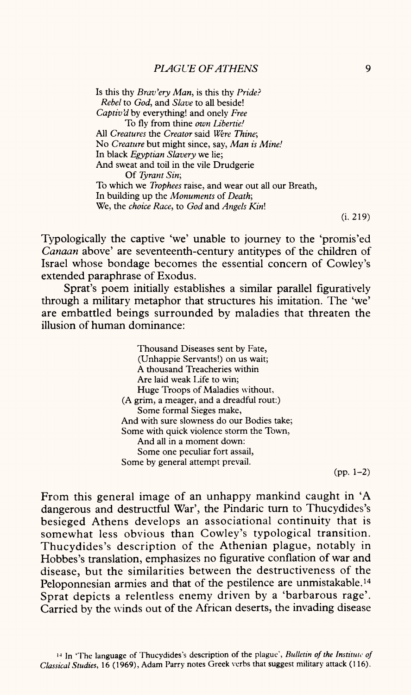Is this thy *Brav'ery Man,* is this thy *Pride? Rebel* to *God,* and *Slave* to all beside! *Captiv'd* by everything! and onely *Free*  To fly from thine *own Libertie!*  All *Creatures* the *Creator* said *Were Thine;*  No *Creature* but might since, say, *Man is Mine!*  In black *Egyptian Slavery* we lie; And sweat and toil in the vile Drudgerie Of *Tyrant Sin;* To which we *Trophees* raise, and wear out all our Breath, In building up the *Monuments* of *Death;*  We, the *choice Race,* to *God* and *Angels Kin\*

(i. 219)

Typologically the captive 'we' unable to journey to the 'promis'ed *Canaan* above' are seventeenth-century antitypes of the children of Israel whose bondage becomes the essential concern of Cowley's extended paraphrase of Exodus.

Sprat's poem initially establishes a similar parallel figuratively through a military metaphor that structures his imitation. The 'we' are embattled beings surrounded by maladies that threaten the illusion of human dominance:

> Thousand Diseases sent by Fate, (Unhappie Servants!) on us wait; A thousand Treacheries within Are laid weak Life to win; Huge Troops of Maladies without, (A grim, a meager, and a dreadful rout:) Some formal Sieges make, And with sure slowness do our Bodies take; Some with quick violence storm the Town, And all in a moment down: Some one peculiar fort assail, Some by general attempt prevail.

> > $(pp. 1-2)$

From this general image of an unhappy mankind caught in 'A dangerous and destructful War', the Pindaric turn to Thucydides's besieged Athens develops an associational continuity that is somewhat less obvious than Cowley's typological transition. Thucydides's description of the Athenian plague, notably in Hobbes's translation, emphasizes no figurative conflation of war and disease, but the similarities between the destructiveness of the Peloponnesian armies and that of the pestilence are unmistakable. 14 Sprat depicts a relentless enemy driven by a 'barbarous rage'. Carried by the winds out of the African deserts, the invading disease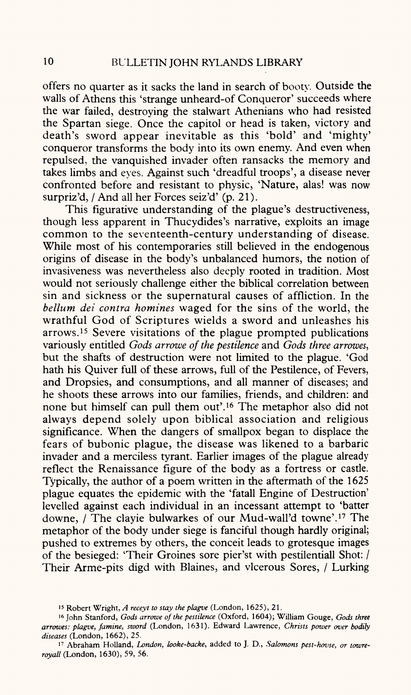offers no quarter as it sacks the land in search of booty. Outside the walls of Athens this 'strange unheard-of Conqueror' succeeds where the war failed, destroying the stalwart Athenians who had resisted the Spartan siege. Once the capitol or head is taken, victory and death's sword appear inevitable as this 'bold' and 'mighty' conqueror transforms the body into its own enemy. And even when repulsed, the vanquished invader often ransacks the memory and takes limbs and eyes. Against such 'dreadful troops', a disease never confronted before and resistant to physic, 'Nature, alas! was now surpriz'd, / And all her Forces seiz'd' (p. 21).

This figurative understanding of the plague's destructiveness, though less apparent in Thucydides's narrative, exploits an image common to the seventeenth-century understanding of disease. While most of his contemporaries still believed in the endogenous origins of disease in the body's unbalanced humors, the notion of invasiveness was nevertheless also deeply rooted in tradition. Most would not seriously challenge either the biblical correlation between sin and sickness or the supernatural causes of affliction. In the *helium del contra homines* waged for the sins of the world, the wrathful God of Scriptures wields a sword and unleashes his arrows. 15 Severe visitations of the plague prompted publications variously entitled *Gods arrowe of the pestilence* and *Gods three arrowes,*  but the shafts of destruction were not limited to the plague. 'God hath his Quiver full of these arrows, full of the Pestilence, of Fevers, and Dropsies, and consumptions, and all manner of diseases; and he shoots these arrows into our families, friends, and children: and none but himself can pull them out'. 16 The metaphor also did not always depend solely upon biblical association and religious significance. When the dangers of smallpox began to displace the fears of bubonic plague, the disease was likened to a barbaric invader and a merciless tyrant. Earlier images of the plague already reflect the Renaissance figure of the body as a fortress or castle. Typically, the author of a poem written in the aftermath of the 1625 plague equates the epidemic with the 'fatall Engine of Destruction' levelled against each individual in an incessant attempt to 'batter downe, / The clayie bulwarkes of our Mud-wall'd towne'. 17 The metaphor of the body under siege is fanciful though hardly original; pushed to extremes by others, the conceit leads to grotesque images of the besieged: 'Their Groines sore pier'st with pestilentiall Shot: / Their Arme-pits digd with Blaines, and vlcerous Sores, / Lurking

<sup>15</sup> Robert Wright, *A receyt to stay the plagve* (London, 1625), 21.

<sup>16</sup> John Stanford, *Gods arrowe of the pestilence* (Oxford, 1604); William Gouge, *Gods three arrowes: plagve, famine, sword* (London, 1631). Edward Lawrence, *Christs power over bodily diseases* (London, 1662), 25.

<sup>17</sup> Abraham Holland, *London, looke-backe,* added to J. D., *Salomons pest-hovse, or towreroyall* (London, 1630), 59, 56.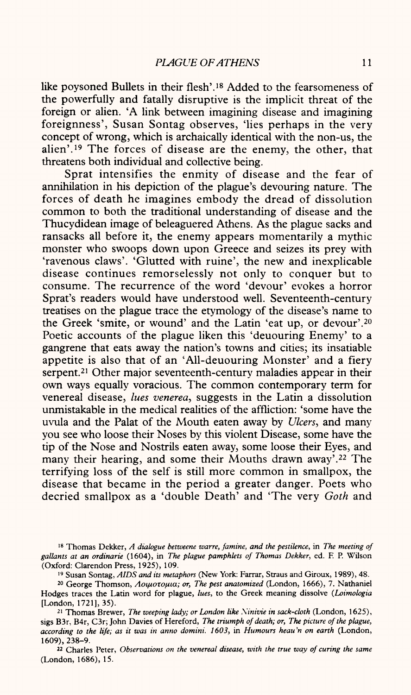like poysoned Bullets in their flesh'. 18 Added to the fearsomeness of the powerfully and fatally disruptive is the implicit threat of the foreign or alien. 'A link between imagining disease and imagining foreignness', Susan Sontag observes, 'lies perhaps in the very concept of wrong, which is archaically identical with the non-us, the alien'. 19 The forces of disease are the enemy, the other, that threatens both individual and collective being.

Sprat intensifies the enmity of disease and the fear of annihilation in his depiction of the plague's devouring nature. The forces of death he imagines embody the dread of dissolution common to both the traditional understanding of disease and the Thucydidean image of beleaguered Athens. As the plague sacks and ransacks all before it, the enemy appears momentarily a mythic monster who swoops down upon Greece and seizes its prey with 'ravenous claws'. 'Glutted with ruine', the new and inexplicable disease continues remorselessly not only to conquer but to consume. The recurrence of the word 'devour' evokes a horror Sprat's readers would have understood well. Seventeenth-century treatises on the plague trace the etymology of the disease's name to the Greek 'smite, or wound' and the Latin 'eat up, or devour'. <sup>20</sup> Poetic accounts of the plague liken this 'deuouring Enemy' to a gangrene that eats away the nation's towns and cities; its insatiable appetite is also that of an 'All-deuouring Monster' and a fiery serpent.<sup>21</sup> Other major seventeenth-century maladies appear in their own ways equally voracious. The common contemporary term for venereal disease, *lues venerea,* suggests in the Latin a dissolution unmistakable in the medical realities of the affliction: 'some have the uvula and the Palat of the Mouth eaten away by *Ulcers,* and many you see who loose their Noses by this violent Disease, some have the tip of the Nose and Nostrils eaten away, some loose their Eyes, and many their hearing, and some their Mouths drawn away'.<sup>22</sup> The terrifying loss of the self is still more common in smallpox, the disease that became in the period a greater danger. Poets who decried smallpox as a 'double Death' and 'The very *Goth* and

18 Thomas Dekker, *A dialogue betweene warre, famine, and the pestilence,* in *The meeting of gallants at an ordinarie* (1604), in *The plague pamphlets of Thomas Dekker,* ed. F. P. Wilson (Oxford: Clarendon Press, 1925), 109.

19 Susan Sontag, *AIDS and its metaphors* (New York: Farrar, Straus and Giroux, 1989), 48.

<sup>20</sup> George Thomson, Λοιμοτομια; or, The pest anatomized (London, 1666), 7. Nathaniel Hodges traces the Latin word for plague, *lues,* to the Greek meaning dissolve *(Loimologia*  [London, 1721], 35).

<sup>21</sup> Thomas Brewer, *The weeping lady; or London like Ninivie in sack-cloth* (London, 1625), sigs B3r, B4r, C3r; John Davies of Hereford, *The triumph of death; or, The picture of the plague, according to the life; as it was in anno domini. 1603,* in *Humours heau'n on earth* (London, 1609), 238-9.

22 Charles Peter, *Observations on the venereal disease, with the true way of curing the same*  (London, 1686), 15.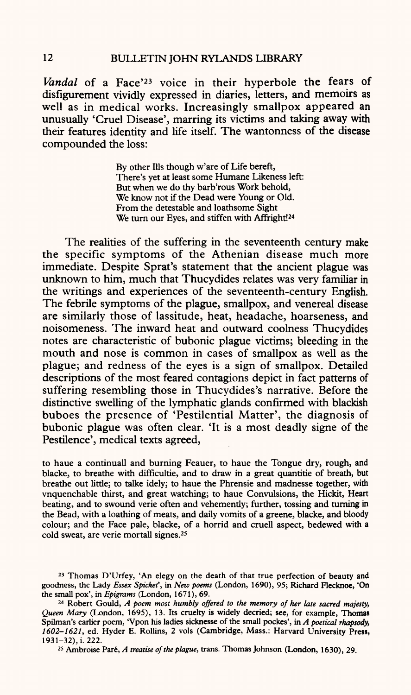*Vandal* of a Face'23 voice in their hyperbole the fears of disfigurement vividly expressed in diaries, letters, and memoirs as well as in medical works. Increasingly smallpox appeared an unusually 'Cruel Disease', marring its victims and taking away with their features identity and life itself. The wantonness of the disease compounded the loss:

> By other His though w'are of Life bereft, There's yet at least some Humane Likeness left: But when we do thy barb'rous Work behold, We know not if the Dead were Young or Old. From the detestable and loathsome Sight We turn our Eyes, and stiffen with Affright<sup>124</sup>

The realities of the suffering in the seventeenth century make the specific symptoms of the Athenian disease much more immediate. Despite Sprat's statement that the ancient plague was unknown to him, much that Thucydides relates was very familiar in the writings and experiences of the seventeenth-century English. The febrile symptoms of the plague, smallpox, and venereal disease are similarly those of lassitude, heat, headache, hoarseness, and noisomeness. The inward heat and outward coolness Thucydides notes are characteristic of bubonic plague victims; bleeding in the mouth and nose is common in cases of smallpox as well as the plague; and redness of the eyes is a sign of smallpox. Detailed descriptions of the most feared contagions depict in fact patterns of suffering resembling those in Thucydides's narrative. Before the distinctive swelling of the lymphatic glands confirmed with blackish buboes the presence of 'Pestilential Matter', the diagnosis of bubonic plague was often clear. 'It is a most deadly signe of the Pestilence', medical texts agreed,

to haue a continuall and burning Feauer, to haue the Tongue dry, rough, and blacke, to breathe with difficultie, and to draw in a great quantitie of breath, but breathe out little; to talke idely; to haue the Phrensie and madnesse together, with vnquenchable thirst, and great watching; to haue Convulsions, the Hickit, Heart beating, and to swound verie often and vehemently; further, tossing and turning in the Bead, with a loathing of meats, and daily vomits of a greene, blacke, and bloody colour; and the Face pale, blacke, of a horrid and cruell aspect, bedewed with a cold sweat, are verie mortall signes.25

25 Ambroise Pare, *A treatise of the plague,* trans. Thomas Johnson (London, 1630), 29.

<sup>23</sup> Thomas D'Urfey, 'An elegy on the death of that true perfection of beauty and goodness, the Lady *Essex Spickef,* in *New poems* (London, 1690), 95; Richard Flecknoe, 'On the small pox', in *Epigrams* (London, 1671), 69.

<sup>24</sup> Robert Gould, *A poem most humbly offered to the memory of her late sacred majesty, Queen Mary* (London, 1695), 13. Its cruelty is widely decried; see, for example, Thomas Spilman's earlier poem, 'Vpon his ladies sicknesse of the small pockes', in *A poetical rhapsody, 1602-1621,* ed. Hyder E. Rollins, 2 vols (Cambridge, Mass.: Harvard University Press, 1931-32), i. 222.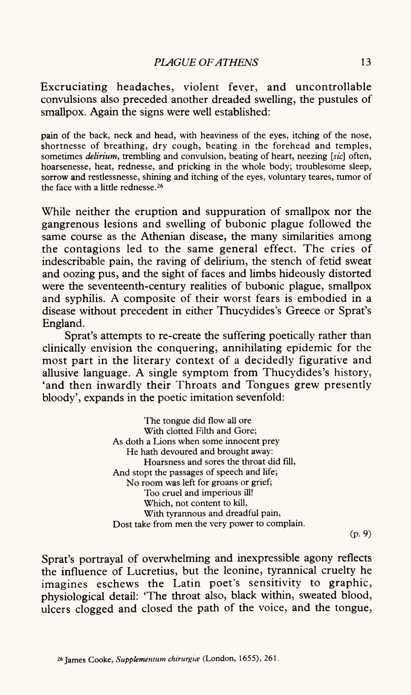Excruciating headaches, violent fever, and uncontrollable convulsions also preceded another dreaded swelling, the pustules of smallpox. Again the signs were well established:

pain of the back, neck and head, with heaviness of the eyes, itching of the nose, shortnesse of breathing, dry cough, beating in the forehead and temples, sometimes *delirium,* trembling and convulsion, beating of heart, neezing *[sic]* often, hoarsenesse, heat, rednesse, and pricking in the whole body; troublesome sleep, sorrow and restlessnesse, shining and itching of the eyes, voluntary teares, tumor of the face with a little rednesse. 26

While neither the eruption and suppuration of smallpox nor the gangrenous lesions and swelling of bubonic plague followed the same course as the Athenian disease, the many similarities among the contagions led to the same general effect. The cries of indescribable pain, the raving of delirium, the stench of fetid sweat and oozing pus, and the sight of faces and limbs hideously distorted were the seventeenth-century realities of bubonic plague, smallpox and syphilis. A composite of their worst fears is embodied in <sup>a</sup> disease without precedent in either Thucydides's Greece or Sprat's England.

Sprat's attempts to re-create the suffering poetically rather than clinically envision the conquering, annihilating epidemic for the most part in the literary context of a decidedly figurative and allusive language. A single symptom from Thucydides's history, 'and then inwardly their Throats and Tongues grew presently bloody', expands in the poetic imitation sevenfold:

> The tongue did flow all ore With clotted Filth and Gore; As doth a Lions when some innocent prey He hath devoured and brought away: Hoarsness and sores the throat did fill, And stopt the passages of speech and life; No room was left for groans or grief; Too cruel and imperious ill! Which, not content to kill, With tyrannous and dreadful pain, Dost take from men the very power to complain.

 $(p.9)$ 

Sprat's portrayal of overwhelming and inexpressible agony reflects the influence of Lucretius, but the leonine, tyrannical cruelty he imagines eschews the Latin poet's sensitivity to graphic, physiological detail: 'The throat also, black within, sweated blood, ulcers clogged and closed the path of the voice, and the tongue,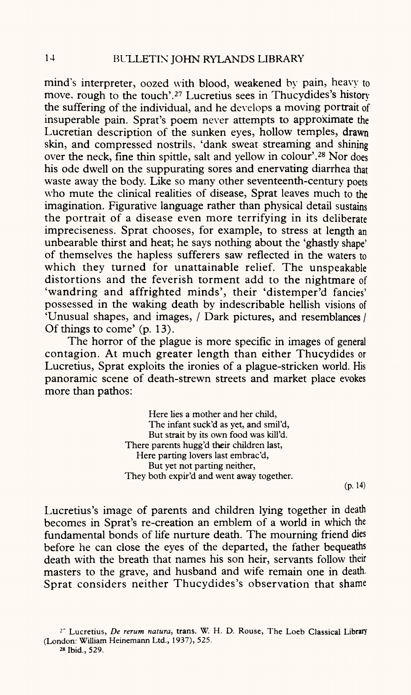mind's interpreter, oozed with blood, weakened by pain, heavy to move, rough to the touch'.<sup>27</sup> Lucretius sees in Thucydides's history the suffering of the individual, and he develops a moving portrait of insuperable pain. Sprat's poem never attempts to approximate the Lucretian description of the sunken eyes, hollow temples, drawn skin, and compressed nostrils, 'dank sweat streaming and shining over the neck, fine thin spittle, salt and yellow in colour'.28 Nor does his ode dwell on the suppurating sores and enervating diarrhea that waste away the body. Like so many other seventeenth-century poets who mute the clinical realities of disease, Sprat leaves much to the imagination. Figurative language rather than physical detail sustains the portrait of a disease even more terrifying in its deliberate impreciseness. Sprat chooses, for example, to stress at length an unbearable thirst and heat; he says nothing about the 'ghastly shape' of themselves the hapless sufferers saw reflected in the waters to which they turned for unattainable relief. The unspeakable distortions and the feverish torment add to the nightmare of 'wandring and affrighted minds', their 'distemper'd fancies' possessed in the waking death by indescribable hellish visions of 'Unusual shapes, and images, / Dark pictures, and resemblances / Of things to come' (p. 13).

The horror of the plague is more specific in images of general contagion. At much greater length than either Thucydides or Lucretius, Sprat exploits the ironies of a plague-stricken world. His panoramic scene of death-strewn streets and market place evokes more than pathos:

> Here lies a mother and her child, The infant suck'd as yet, and smil'd, But strait by its own food was kill'd. There parents hugg'd their children last, Here parting lovers last embrac'd, But yet not parting neither, They both expir'd and went away together.

(p. 14)

Lucretius's image of parents and children lying together in death becomes in Sprat's re-creation an emblem of a world in which the fundamental bonds of life nurture death. The mourning friend dies before he can close the eyes of the departed, the father bequeaths death with the breath that names his son heir, servants follow their masters to the grave, and husband and wife remain one in death. Sprat considers neither Thucydides's observation that shame

*<sup>2</sup> "* Lucretius, *De rerum natura,* trans. W. H. D. Rouse, The Loeb Classical Library (London: William Heinemann Ltd., 1937), 525.

<sup>28</sup> Ibid., 529.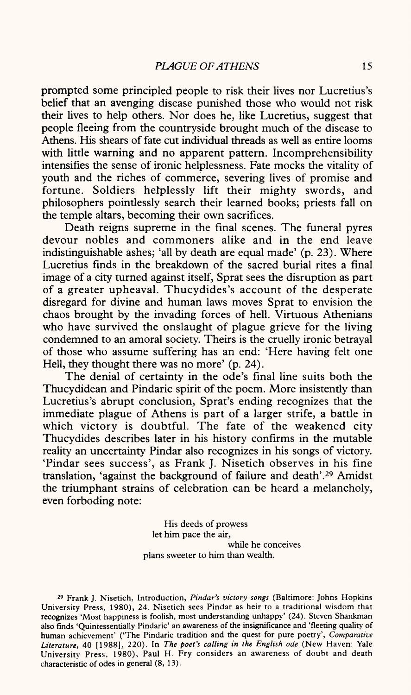prompted some principled people to risk their lives nor Lucretius's belief that an avenging disease punished those who would not risk their lives to help others. Nor does he, like Lucretius, suggest that people fleeing from the countryside brought much of the disease to Athens. His shears of fate cut individual threads as well as entire looms with little warning and no apparent pattern. Incomprehensibility intensifies the sense of ironic helplessness. Fate mocks the vitality of youth and the riches of commerce, severing lives of promise and fortune. Soldiers helplessly lift their mighty swords, and philosophers pointlessly search their learned books; priests fall on the temple altars, becoming their own sacrifices.

Death reigns supreme in the final scenes. The funeral pyres devour nobles and commoners alike and in the end leave indistinguishable ashes; 'all by death are equal made' (p. 23). Where Lucretius finds in the breakdown of the sacred burial rites a final image of a city turned against itself, Sprat sees the disruption as par<sup>t</sup> of a greater upheaval. Thucydides's account of the desperate disregard for divine and human laws moves Sprat to envision the chaos brought by the invading forces of hell. Virtuous Athenians who have survived the onslaught of plague grieve for the living condemned to an amoral society. Theirs is the cruelly ironic betrayal of those who assume suffering has an end: 'Here having felt one Hell, they thought there was no more' (p. 24).

The denial of certainty in the ode's final line suits both the Thucydidean and Pindaric spirit of the poem. More insistently than Lucretius's abrupt conclusion, Sprat's ending recognizes that the immediate plague of Athens is part of a larger strife, a battle in which victory is doubtful. The fate of the weakened city Thucydides describes later in his history confirms in the mutable reality an uncertainty Pindar also recognizes in his songs of victory. 'Pindar sees success', as Frank J. Nisetich observes in his fine translation, 'against the background of failure and death'.29 Amidst the triumphant strains of celebration can be heard a melancholy, even forboding note:

> His deeds of prowess let him pace the air, while he conceives plans sweeter to him than wealth.

<sup>29</sup> Frank J. Nisetich, Introduction, *Pindar's victory songs* (Baltimore: Johns Hopkins University Press, 1980), 24. Nisetich sees Pindar as heir to a traditional wisdom that recognizes 'Most happiness is foolish, most understanding unhappy' (24). Steven Shankman also finds 'Quintessentially Pindaric' an awareness of the insignificance and 'fleeting quality of human achievement' ('The Pindaric tradition and the quest for pure poetry', *Comparative Literature,* 40 [1988], 220). In *The poet's calling in the English ode* (New Haven: Yale University Press, 1980), Paul H. Fry considers an awareness of doubt and death characteristic of odes in general (8, 13).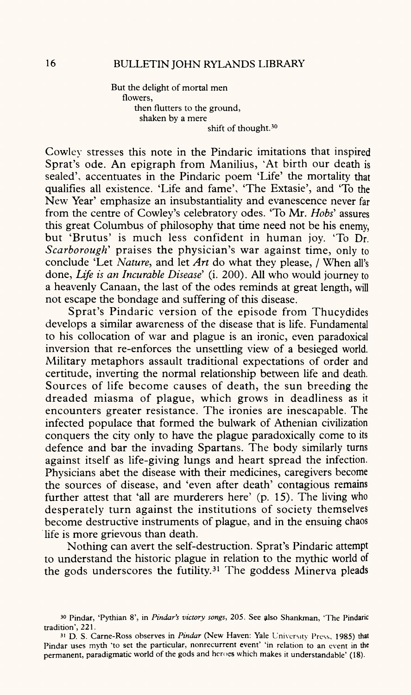But the delight of mortal men flowers, then flutters to the ground, shaken by a mere shift of thought.<sup>30</sup>

Cowley stresses this note in the Pindaric imitations that inspired Sprat's ode. An epigraph from Manilius, 'At birth our death is sealed', accentuates in the Pindaric poem 'Life' the mortality that qualifies all existence. 'Life and fame', 'The Extasie', and 'To the New Year' emphasize an insubstantiality and evanescence never far from the centre of Cowley's celebratory odes. 'To Mr. *Hobs'* assures this great Columbus of philosophy that time need not be his enemy, but 'Brutus' is much less confident in human joy. 'To Dr. *Scarborough'* praises the physician's war against time, only to conclude 'Let *Nature,* and let *Art* do what they please, / When all's done, *Life is an Incurable Disease'* (i. 200). All who would journey to a heavenly Canaan, the last of the odes reminds at great length, will not escape the bondage and suffering of this disease.

Sprat's Pindaric version of the episode from Thucydides develops a similar awareness of the disease that is life. Fundamental to his collocation of war and plague is an ironic, even paradoxical inversion that re-enforces the unsettling view of a besieged world. Military metaphors assault traditional expectations of order and certitude, inverting the normal relationship between life and death. Sources of life become causes of death, the sun breeding the dreaded miasma of plague, which grows in deadliness as it encounters greater resistance. The ironies are inescapable. The infected populace that formed the bulwark of Athenian civilization conquers the city only to have the plague paradoxically come to its defence and bar the invading Spartans. The body similarly turns against itself as life-giving lungs and heart spread the infection. Physicians abet the disease with their medicines, caregivers become the sources of disease, and 'even after death' contagious remains further attest that 'all are murderers here' (p. 15). The living who desperately turn against the institutions of society themselves become destructive instruments of plague, and in the ensuing chaos life is more grievous than death.

Nothing can avert the self-destruction. Sprat's Pindaric attempt to understand the historic plague in relation to the mythic world of the gods underscores the futility. 31 The goddess Minerva pleads

<sup>30</sup> Pindar, 'Pythian 8', in *Pindar's victory songs,* 205. See also Shankman, 'The Pindaric tradition', 221.

<sup>31</sup> D. S. Carne-Ross observes in *Pindar* (New Haven: Yale University Press, 1985) that Pindar uses myth 'to set the particular, nonrecurrent event' 'in relation to an event in the permanent, paradigmatic world of the gods and heroes which makes it understandable' (18).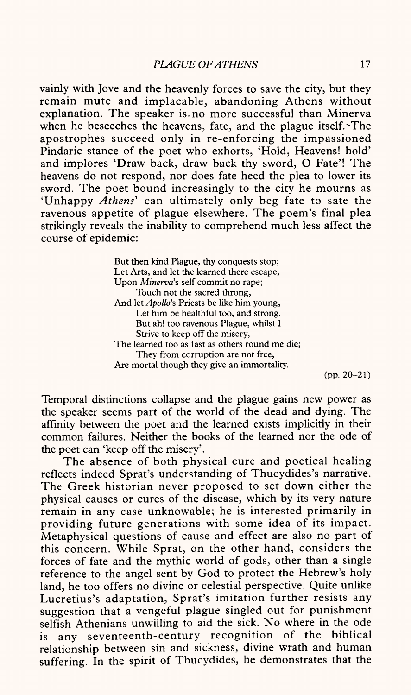vainly with Jove and the heavenly forces to save the city, but they remain mute and implacable, abandoning Athens without explanation. The speaker is.no more successful than Minerva when he beseeches the heavens, fate, and the plague itself. The apostrophes succeed only in re-enforcing the impassioned Pindaric stance of the poet who exhorts, 'Hold, Heavens! hold' and implores 'Draw back, draw back thy sword, O Fate'! The heavens do not respond, nor does fate heed the plea to lower its sword. The poet bound increasingly to the city he mourns as 'Unhappy *Athens'* can ultimately only beg fate to sate the ravenous appetite of plague elsewhere. The poem's final plea strikingly reveals the inability to comprehend much less affect the course of epidemic:

> But then kind Plague, thy conquests stop; Let Arts, and let the learned there escape, Upon *Minerva's* self commit no rape; Touch not the sacred throng, And let *Apollo's* Priests be like him young, Let him be healthful too, and strong. But ah! too ravenous Plague, whilst I Strive to keep off the misery, The learned too as fast as others round me die; They from corruption are not free, Are mortal though they give an immortality.

(pp. 20-21)

Temporal distinctions collapse and the plague gains new power as the speaker seems part of the world of the dead and dying. The affinity between the poet and the learned exists implicitly in their common failures. Neither the books of the learned nor the ode of the poet can 'keep off the misery'.

The absence of both physical cure and poetical healing reflects indeed Sprat's understanding of Thucydides's narrative. The Greek historian never proposed to set down either the physical causes or cures of the disease, which by its very nature remain in any case unknowable; he is interested primarily in providing future generations with some idea of its impact. Metaphysical questions of cause and effect are also no part of this concern. While Sprat, on the other hand, considers the forces of fate and the mythic world of gods, other than a single reference to the angel sent by God to protect the Hebrew's holy land, he too offers no divine or celestial perspective. Quite unlike Lucretius's adaptation, Sprat's imitation further resists any suggestion that a vengeful plague singled out for punishment selfish Athenians unwilling to aid the sick. No where in the ode is any seventeenth-century recognition of the biblical relationship between sin and sickness, divine wrath and human suffering. In the spirit of Thucydides, he demonstrates that the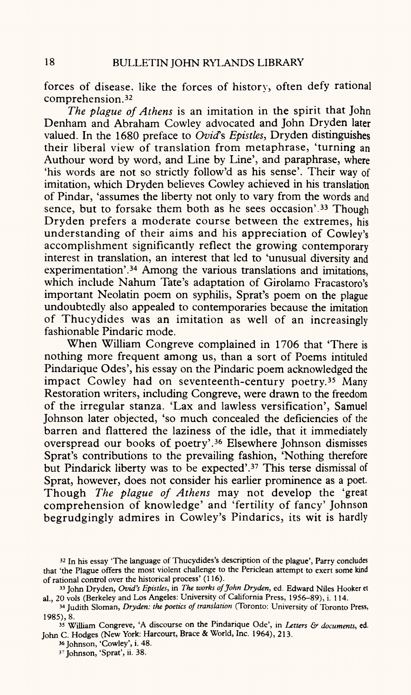forces of disease, like the forces of history, often defy rational comprehension. <sup>32</sup>

*The plague of Athens* is an imitation in the spirit that John Denham and Abraham Cowley advocated and John Dryden later valued. In the 1680 preface to *Ovid's Epistles,* Dryden distinguishes their liberal view of translation from metaphrase, 'turning an Authour word by word, and Line by Line', and paraphrase, where 'his words are not so strictly follow'd as his sense'. Their way of imitation, which Dryden believes Cowley achieved in his translation of Pindar, 'assumes the liberty not only to vary from the words and sence, but to forsake them both as he sees occasion'.<sup>33</sup> Though Dryden prefers a moderate course between the extremes, his understanding of their aims and his appreciation of Cowley's accomplishment significantly reflect the growing contemporary interest in translation, an interest that led to 'unusual diversity and experimentation'.<sup>34</sup> Among the various translations and imitations, which include Nahum Tate's adaptation of Girolamo Fracastoro's important Neolatin poem on syphilis, Sprat's poem on the plague undoubtedly also appealed to contemporaries because the imitation of Thucydides was an imitation as well of an increasingly fashionable Pindaric mode.

When William Congreve complained in 1706 that 'There is nothing more frequent among us, than a sort of Poems intituled Pindarique Odes', his essay on the Pindaric poem acknowledged the impact Cowley had on seventeenth-century poetry.<sup>35</sup> Many Restoration writers, including Congreve, were drawn to the freedom of the irregular stanza. 'Lax and lawless versification', Samuel Johnson later objected, 'so much concealed the deficiencies of the barren and flattered the laziness of the idle, that it immediately overspread our books of poetry'. 36 Elsewhere Johnson dismisses Sprat's contributions to the prevailing fashion, 'Nothing therefore but Pindarick liberty was to be expected'.37 This terse dismissal of Sprat, however, does not consider his earlier prominence as a poet. Though *The plague of Athens* may not develop the 'great comprehension of knowledge' and 'fertility of fancy' Johnson begrudgingly admires in Cowley's Pindarics, its wit is hardly

<sup>32</sup> In his essay 'The language of Thucydides's description of the plague', Parry concludes that 'the Plague offers the most violent challenge to the Periclean attempt to exert some kind of rational control over the historical process' (116).

<sup>33</sup> John Dryden, *Ovid's Epistles,* in *The works of John Dryden,* ed. Edward Niles Hooker et al., 20 vols (Berkeley and Los Angeles: University of California Press, 1956-89), i. 114.

<sup>34</sup> Judith Sloman, *Dryden: the poetics of translation* (Toronto: University of Toronto Press, 1985), 8.

<sup>35</sup> William Congreve, 'A discourse on the Pindarique Ode', in *Letters & documents,* ed. John C. Hodges (New York: Harcourt, Brace & World, Inc. 1964), 213.

<sup>3«</sup> Johnson, 'Cowley', i. 48.

<sup>37</sup> Johnson, 'Sprat', ii. 38.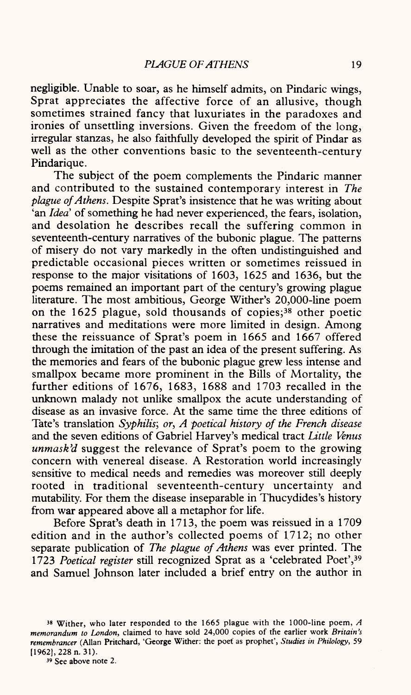negligible. Unable to soar, as he himself admits, on Pindaric wings, Sprat appreciates the affective force of an allusive, though sometimes strained fancy that luxuriates in the paradoxes and ironies of unsettling inversions. Given the freedom of the long, irregular stanzas, he also faithfully developed the spirit of Pindar as well as the other conventions basic to the seventeenth-century Pindarique.

The subject of the poem complements the Pindaric manner and contributed to the sustained contemporary interest in *The plague of Athens.* Despite Sprat's insistence that he was writing about 'an *Idea'* of something he had never experienced, the fears, isolation, and desolation he describes recall the suffering common in seventeenth-century narratives of the bubonic plague. The patterns of misery do not vary markedly in the often undistinguished and predictable occasional pieces written or sometimes reissued in response to the major visitations of 1603, 1625 and 1636, but the poems remained an important part of the century's growing plague literature. The most ambitious, George Wither's 20,000-line poem on the 1625 plague, sold thousands of copies; 38 other poetic narratives and meditations were more limited in design. Among these the reissuance of Sprat's poem in 1665 and 1667 offered through the imitation of the past an idea of the present suffering. As the memories and fears of the bubonic plague grew less intense and smallpox became more prominent in the Bills of Mortality, the further editions of 1676, 1683, 1688 and 1703 recalled in the unknown malady not unlike smallpox the acute understanding of disease as an invasive force. At the same time the three editions of Tate's translation *Syphilis', or, A poetical history of the French disease*  and the seven editions of Gabriel Harvey's medical tract *Little Venus unmask'd* suggest the relevance of Sprat's poem to the growing concern with venereal disease. A Restoration world increasingly sensitive to medical needs and remedies was moreover still deeply rooted in traditional seventeenth-century uncertainty and mutability. For them the disease inseparable in Thucydides's history from war appeared above all a metaphor for life.

Before Sprat's death in 1713, the poem was reissued in a 1709 edition and in the author's collected poems of 1712; no other separate publication of *The plague of Athens* was ever printed. The 1723 *Poetical register* still recognized Sprat as a 'celebrated Poet',39 and Samuel Johnson later included a brief entry on the author in

<sup>38</sup> Wither, who later responded to the 1665 plague with the 1000-line poem, *A memorandum to London,* claimed to have sold 24,000 copies of the earlier work *Britain's remembrancer* (Allan Pritchard, 'George Wither: the poet as prophet', *Studies in Philology,* 59 [1962], 228 n. 31).

<sup>39</sup> See above note 2.